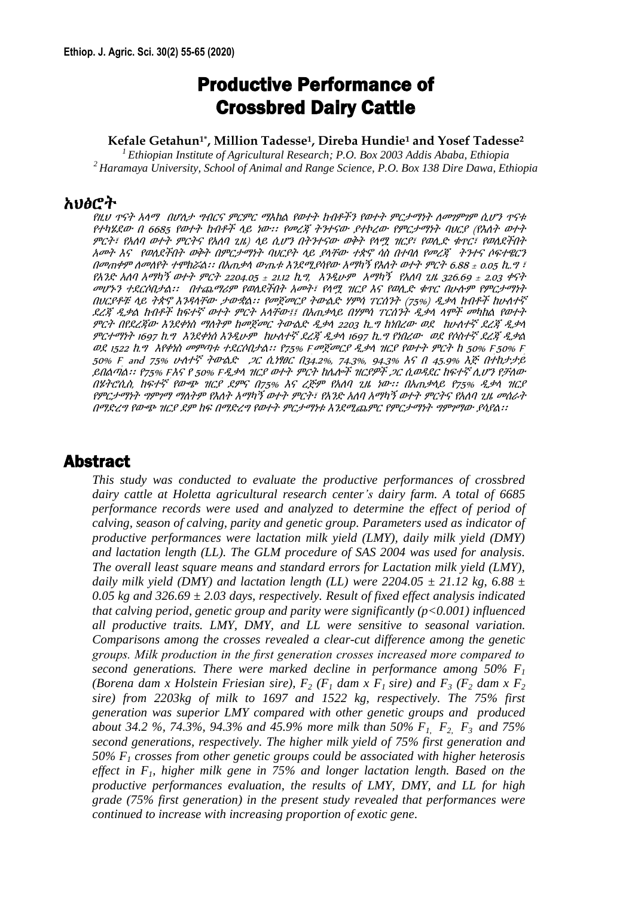# Productive Performance of Crossbred Dairy Cattle

**Kefale Getahun1\* , Million Tadesse<sup>1</sup> , Direba Hundie<sup>1</sup> and Yosef Tadesse<sup>2</sup>**

*<sup>1</sup>Ethiopian Institute of Agricultural Research; P.O. Box 2003 Addis Ababa, Ethiopia <sup>2</sup>Haramaya University, School of Animal and Range Science, P.O. Box 138 Dire Dawa, Ethiopia*

#### አህፅሮት

የዚህ ጥናት አላማ በሆለታ ግብርና ምርምር ማእከል የወተት ከብቶችን የወተት ምርታማነት ለመገምገም ሲሆን ጥናቱ የተካሄደው <sup>በ</sup> <sup>6685</sup>የወተት ከብቶች ላይ ነው፡፡ የመረጃ ትንተናው ያተኮረው የምርታማነት ባህርያ (የእለት ወተት ምርት፣ የአለባ ወተት ምርትና የአለባ ጊዜ) ላይ ሲሆን በትንተናው ወቅት የላሟ ዝርያ፣ የወሊድ ቁጥር፣ የወለደችበት አመት እና የወለደችበት ወቅት በምርታማነት ባህርያት ላይ ያላቸው ተጵኖ ሳስ በተባለ የመረጃ ትንተና ሶፍተዌርን በመጠቀም ለመለየት ተሞክሯል፡፡ በአጠቃላ ውጤቱ እንደሚያሳየው አማካኝ የእለት ወተት ምርት 6.88 ± 0.05 ኪ.<sup>ግ</sup> ፣ የአንድ አለባ አማካኝ ወተት ምርት 2204.05 ± 21.12 ኪግ, እንዲሁም አማካኝ የአለባ ጊዜ 326.69 ± 2.03 ቀናት መሆኑን ተደርሶበታል፡፡ በተጨማሪም የወለደችበት አመት፣ የላሟ ዝርያ እና የወሊድ ቁጥር በሁሉም የምርታማነት በህርያቶቹ ላይ ትጵኖ እንዳላቸው ታውቋል፡፡ የመጀመርያ ትውልድ ሃምሳ ፐርሰንት (75%) ዲቃላ ከብቶች ከሁለተኛ ደረጃ ዲቃል ከብቶች ከፍተኛ ወተት ምርት አላቸው፤፤ በአጠቃላይ በሃምሳ ፐርሰንት ዲቃላ ላሞች መካከል የወተት ምርት በየደረጃው እንደቀነስ ማለትም ከመጀመር ትውልድ ዲቃላ <sup>2203</sup>ኪ.<sup>ግ</sup> ከነበረው ወደ ከሁለተኛ ደረጃ ዲቃላ ምርተማነት 1697 ከ.<sup>ግ</sup> እንደቀነሰ እንዲሁም ከሁለተኛ ደረጃ ዲቃላ 1697 ኪ.<sup>ግ</sup> የነበረው ወደ የሶስተኛ ደረጃ ዲቃል ወደ 1522 ከ.ግ እየቀነስ መምጣቱ ተደርሶበታል፡፡ የ75% Fመጀመርያ ዲቃላ ዝርያ የወተት ምርት ከ 50% F50% F 2, 50% F and 75% ሁለተኛ ትውልድ ጋር ሲነፃፀር በ34.2%, 74.3%, 94.3% እና በ 45.9% እጅ በተከታታይ ይበልጣል፡፡ የ75% Fእና የ 50% F*ዲቃላ ዝርያ ወተት ምርት ከሌሎች ዝርያዎች ጋር ሲወዳደር ከፍተኛ ሊሆን የቻለው* 1 በሄትሮሲስ, ከፍተኛ የውጭ ዝርያ ደምና በ75% እና ረጅም የአለባ ጊዜ ነው፡፡ በአጠቃላይ የ75% ዲቃላ ዝርያ የምርታማነት ግምገማ ማለትም የእለት አማካኝ ወተት ምርት፣ የአንድ አለባ አማካኝ ወተት ምርትና የአለባ ጊዜ መሰራት በማድረግ የውጭ ዝርያ ደም ከፍ በማድረግ የወተት ምርታማነቱ እንደሚጨምር የምርታማነት ግምገማው ያሳያል፡፡

# Abstract

*This study was conducted to evaluate the productive performances of crossbred dairy cattle at Holetta agricultural research center's dairy farm. A total of 6685 performance records were used and analyzed to determine the effect of period of calving, season of calving, parity and genetic group. Parameters used as indicator of productive performances were lactation milk yield (LMY), daily milk yield (DMY) and lactation length (LL). The GLM procedure of SAS 2004 was used for analysis. The overall least square means and standard errors for Lactation milk yield (LMY), daily milk yield (DMY) and lactation length (LL) were 2204.05*  $\pm$  21.12 kg, 6.88  $\pm$ *0.05 kg and 326.69 ± 2.03 days, respectively. Result of fixed effect analysis indicated that calving period, genetic group and parity were significantly (p<0.001) influenced all productive traits. LMY, DMY, and LL were sensitive to seasonal variation. Comparisons among the crosses revealed a clear-cut difference among the genetic groups. Milk production in the first generation crosses increased more compared to second generations. There were marked decline in performance among 50% F<sup>1</sup> (Borena dam x Holstein Friesian sire),*  $F_2$  *(F<sub>1</sub> dam x F<sub>1</sub> sire) and F<sub>3</sub> (F<sub>2</sub> <i>dam x F<sub>2</sub> sire) from 2203kg of milk to 1697 and 1522 kg, respectively. The 75% first generation was superior LMY compared with other genetic groups and produced about 34.2 %, 74.3%, 94.3% and 45.9% more milk than 50% F1, F2, F3 and 75% second generations, respectively. The higher milk yield of 75% first generation and 50% F<sup>1</sup> crosses from other genetic groups could be associated with higher heterosis effect in F1, higher milk gene in 75% and longer lactation length. Based on the productive performances evaluation, the results of LMY, DMY, and LL for high grade (75% first generation) in the present study revealed that performances were continued to increase with increasing proportion of exotic gene.*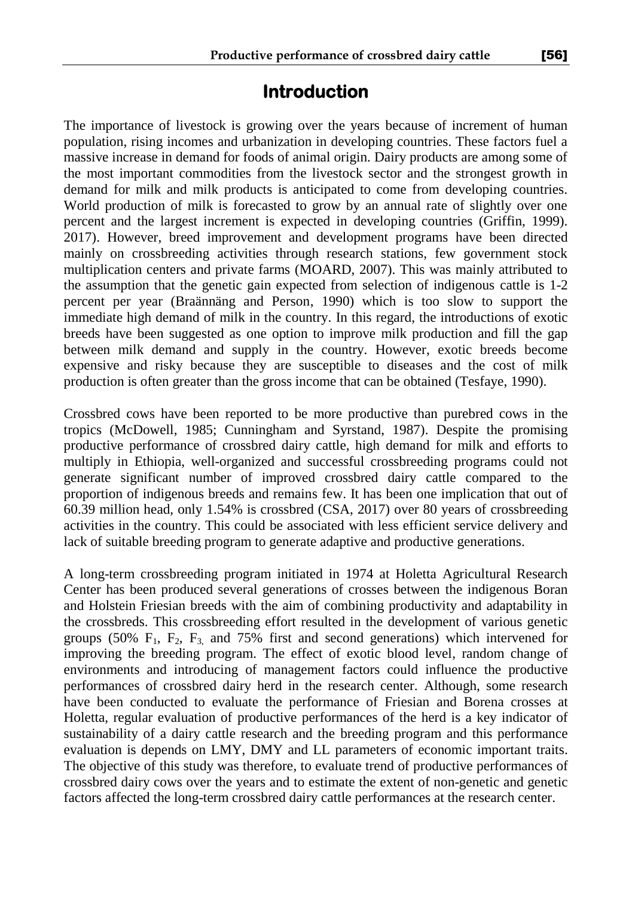# **Introduction**

The importance of livestock is growing over the years because of increment of human population, rising incomes and urbanization in developing countries. These factors fuel a massive increase in demand for foods of animal origin. Dairy products are among some of the most important commodities from the livestock sector and the strongest growth in demand for milk and milk products is anticipated to come from developing countries. World production of milk is forecasted to grow by an annual rate of slightly over one percent and the largest increment is expected in developing countries (Griffin, 1999). 2017). However, breed improvement and development programs have been directed mainly on crossbreeding activities through research stations, few government stock multiplication centers and private farms (MOARD, 2007). This was mainly attributed to the assumption that the genetic gain expected from selection of indigenous cattle is 1-2 percent per year (Braännäng and Person, 1990) which is too slow to support the immediate high demand of milk in the country. In this regard, the introductions of exotic breeds have been suggested as one option to improve milk production and fill the gap between milk demand and supply in the country. However, exotic breeds become expensive and risky because they are susceptible to diseases and the cost of milk production is often greater than the gross income that can be obtained (Tesfaye, 1990).

Crossbred cows have been reported to be more productive than purebred cows in the tropics (McDowell, 1985; Cunningham and Syrstand, 1987). Despite the promising productive performance of crossbred dairy cattle, high demand for milk and efforts to multiply in Ethiopia, well-organized and successful crossbreeding programs could not generate significant number of improved crossbred dairy cattle compared to the proportion of indigenous breeds and remains few. It has been one implication that out of 60.39 million head, only 1.54% is crossbred (CSA, 2017) over 80 years of crossbreeding activities in the country. This could be associated with less efficient service delivery and lack of suitable breeding program to generate adaptive and productive generations.

A long-term crossbreeding program initiated in 1974 at Holetta Agricultural Research Center has been produced several generations of crosses between the indigenous Boran and Holstein Friesian breeds with the aim of combining productivity and adaptability in the crossbreds. This crossbreeding effort resulted in the development of various genetic groups (50%  $F_1$ ,  $F_2$ ,  $F_3$  and 75% first and second generations) which intervened for improving the breeding program. The effect of exotic blood level, random change of environments and introducing of management factors could influence the productive performances of crossbred dairy herd in the research center. Although, some research have been conducted to evaluate the performance of Friesian and Borena crosses at Holetta, regular evaluation of productive performances of the herd is a key indicator of sustainability of a dairy cattle research and the breeding program and this performance evaluation is depends on LMY, DMY and LL parameters of economic important traits. The objective of this study was therefore, to evaluate trend of productive performances of crossbred dairy cows over the years and to estimate the extent of non-genetic and genetic factors affected the long-term crossbred dairy cattle performances at the research center.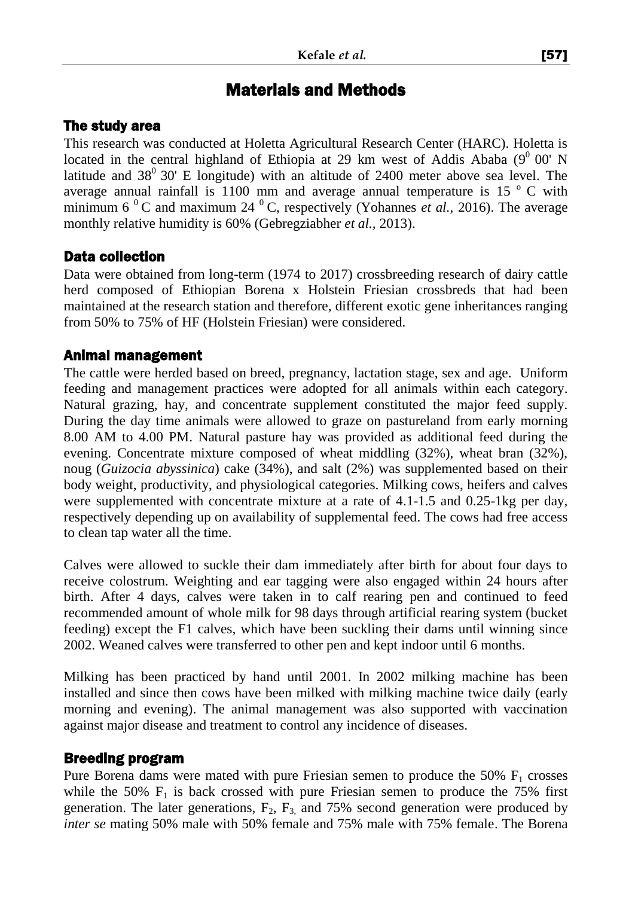# Materials and Methods

#### The study area

This research was conducted at Holetta Agricultural Research Center (HARC). Holetta is located in the central highland of Ethiopia at 29 km west of Addis Ababa  $(9^0\ 00'$  N latitude and  $38^{\circ}$  30' E longitude) with an altitude of 2400 meter above sea level. The average annual rainfall is 1100 mm and average annual temperature is 15 $\degree$  C with minimum 6<sup> $0$ </sup>C and maximum 24<sup> $0$ </sup>C, respectively (Yohannes *et al.*, 2016). The average monthly relative humidity is 60% (Gebregziabher *et al.,* 2013).

## Data collection

Data were obtained from long-term (1974 to 2017) crossbreeding research of dairy cattle herd composed of Ethiopian Borena x Holstein Friesian crossbreds that had been maintained at the research station and therefore, different exotic gene inheritances ranging from 50% to 75% of HF (Holstein Friesian) were considered.

#### Animal management

The cattle were herded based on breed, pregnancy, lactation stage, sex and age. Uniform feeding and management practices were adopted for all animals within each category. Natural grazing, hay, and concentrate supplement constituted the major feed supply. During the day time animals were allowed to graze on pastureland from early morning 8.00 AM to 4.00 PM. Natural pasture hay was provided as additional feed during the evening. Concentrate mixture composed of wheat middling (32%), wheat bran (32%), noug (*Guizocia abyssinica*) cake (34%), and salt (2%) was supplemented based on their body weight, productivity, and physiological categories. Milking cows, heifers and calves were supplemented with concentrate mixture at a rate of 4.1-1.5 and 0.25-1kg per day, respectively depending up on availability of supplemental feed. The cows had free access to clean tap water all the time.

Calves were allowed to suckle their dam immediately after birth for about four days to receive colostrum. Weighting and ear tagging were also engaged within 24 hours after birth. After 4 days, calves were taken in to calf rearing pen and continued to feed recommended amount of whole milk for 98 days through artificial rearing system (bucket feeding) except the F1 calves, which have been suckling their dams until winning since 2002. Weaned calves were transferred to other pen and kept indoor until 6 months.

Milking has been practiced by hand until 2001. In 2002 milking machine has been installed and since then cows have been milked with milking machine twice daily (early morning and evening). The animal management was also supported with vaccination against major disease and treatment to control any incidence of diseases.

## Breeding program

Pure Borena dams were mated with pure Friesian semen to produce the  $50\%$   $F_1$  crosses while the 50%  $F_1$  is back crossed with pure Friesian semen to produce the 75% first generation. The later generations,  $F_2$ ,  $F_3$ , and 75% second generation were produced by *inter se* mating 50% male with 50% female and 75% male with 75% female. The Borena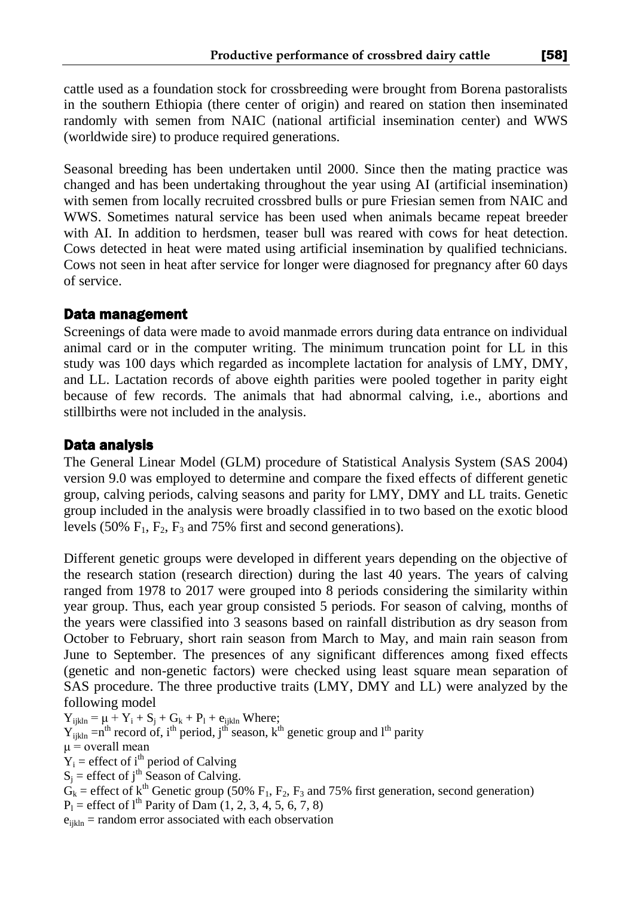cattle used as a foundation stock for crossbreeding were brought from Borena pastoralists in the southern Ethiopia (there center of origin) and reared on station then inseminated randomly with semen from NAIC (national artificial insemination center) and WWS (worldwide sire) to produce required generations.

Seasonal breeding has been undertaken until 2000. Since then the mating practice was changed and has been undertaking throughout the year using AI (artificial insemination) with semen from locally recruited crossbred bulls or pure Friesian semen from NAIC and WWS. Sometimes natural service has been used when animals became repeat breeder with AI. In addition to herdsmen, teaser bull was reared with cows for heat detection. Cows detected in heat were mated using artificial insemination by qualified technicians. Cows not seen in heat after service for longer were diagnosed for pregnancy after 60 days of service.

#### Data management

Screenings of data were made to avoid manmade errors during data entrance on individual animal card or in the computer writing. The minimum truncation point for LL in this study was 100 days which regarded as incomplete lactation for analysis of LMY, DMY, and LL. Lactation records of above eighth parities were pooled together in parity eight because of few records. The animals that had abnormal calving, i.e., abortions and stillbirths were not included in the analysis.

#### Data analysis

The General Linear Model (GLM) procedure of Statistical Analysis System (SAS 2004) version 9.0 was employed to determine and compare the fixed effects of different genetic group, calving periods, calving seasons and parity for LMY, DMY and LL traits. Genetic group included in the analysis were broadly classified in to two based on the exotic blood levels (50%  $F_1$ ,  $F_2$ ,  $F_3$  and 75% first and second generations).

Different genetic groups were developed in different years depending on the objective of the research station (research direction) during the last 40 years. The years of calving ranged from 1978 to 2017 were grouped into 8 periods considering the similarity within year group. Thus, each year group consisted 5 periods. For season of calving, months of the years were classified into 3 seasons based on rainfall distribution as dry season from October to February, short rain season from March to May, and main rain season from June to September. The presences of any significant differences among fixed effects (genetic and non-genetic factors) were checked using least square mean separation of SAS procedure. The three productive traits (LMY, DMY and LL) were analyzed by the following model

 $Y_{ijkln} = \mu + Y_i + S_j + G_k + P_l + e_{ijkln}$  Where;

 $Y_{ijkln} = n^{th}$  record of, i<sup>th</sup> period, j<sup>th'</sup> season, k<sup>th</sup> genetic group and l<sup>th</sup> parity

 $\mu$  = overall mean

 $Y_i$  = effect of i<sup>th</sup> period of Calving

 $S_j$  = effect of j<sup>th</sup> Season of Calving.

 $\mathbf{G}_k$  = effect of  $k^{\text{th}}$  Genetic group (50%  $\mathbf{F}_1$ ,  $\mathbf{F}_2$ ,  $\mathbf{F}_3$  and 75% first generation, second generation)

 $P_1$  = effect of 1<sup>th</sup> Parity of Dam (1, 2, 3, 4, 5, 6, 7, 8)

 $e_{iikln}$  = random error associated with each observation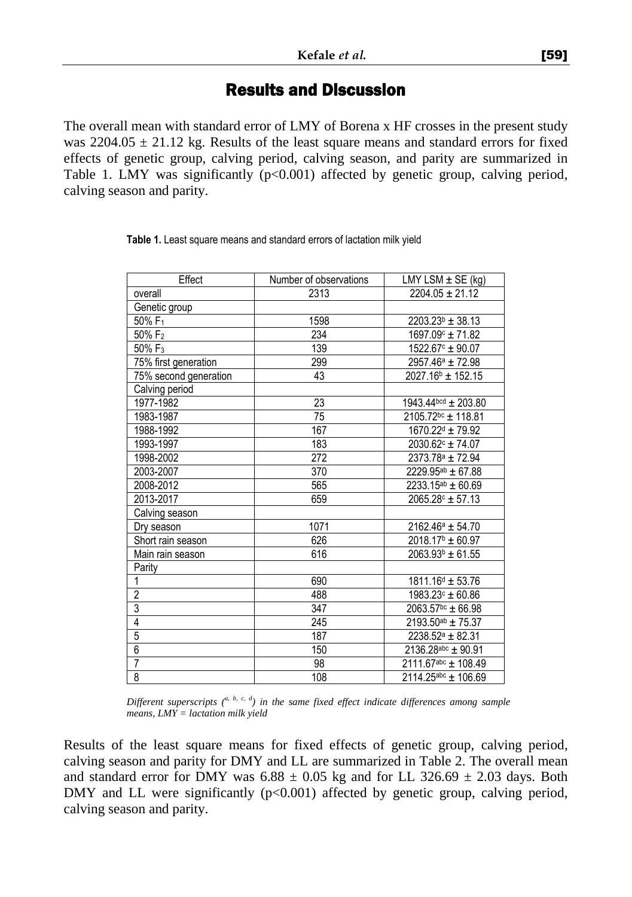#### Results and Discussion

The overall mean with standard error of LMY of Borena x HF crosses in the present study was  $2204.05 \pm 21.12$  kg. Results of the least square means and standard errors for fixed effects of genetic group, calving period, calving season, and parity are summarized in Table 1. LMY was significantly (p<0.001) affected by genetic group, calving period, calving season and parity.

| Effect                | Number of observations | LMY LSM $\pm$ SE (kg)          |
|-----------------------|------------------------|--------------------------------|
| overall               | 2313                   | $2204.05 \pm 21.12$            |
| Genetic group         |                        |                                |
| 50% F <sub>1</sub>    | 1598                   | $2203.23^{b} \pm 38.13$        |
| 50% F <sub>2</sub>    | 234                    | 1697.09 c ± 71.82              |
| 50% F <sub>3</sub>    | 139                    | $1522.67c \pm 90.07$           |
| 75% first generation  | 299                    | 2957.46 <sup>a</sup> ± 72.98   |
| 75% second generation | 43                     | $2027.16^{\circ}$ ± 152.15     |
| Calving period        |                        |                                |
| 1977-1982             | 23                     | 1943.44bcd ± 203.80            |
| 1983-1987             | 75                     | 2105.72 <sup>bc</sup> ± 118.81 |
| 1988-1992             | 167                    | 1670.22 <sup>d</sup> ± 79.92   |
| 1993-1997             | 183                    | $2030.62^{\circ}$ ± 74.07      |
| 1998-2002             | 272                    | 2373.78 <sup>a</sup> ± 72.94   |
| 2003-2007             | 370                    | $2229.95^{ab} \pm 67.88$       |
| 2008-2012             | 565                    | $2233.15^{ab} \pm 60.69$       |
| 2013-2017             | 659                    | $2065.28c \pm 57.13$           |
| Calving season        |                        |                                |
| Dry season            | 1071                   | $2162.46^a \pm 54.70$          |
| Short rain season     | 626                    | $2018.17^b \pm 60.97$          |
| Main rain season      | 616                    | $2063.93b \pm 61.55$           |
| Parity                |                        |                                |
| 1                     | 690                    | 1811.16 <sup>d</sup> ± 53.76   |
| $\overline{2}$        | 488                    | $\frac{1983.23}{5}$ ± 60.86    |
| $\overline{3}$        | 347                    | $2063.57^{bc} \pm 66.98$       |
| 4                     | 245                    | $2193.50^{ab} \pm 75.37$       |
| $\overline{5}$        | 187                    | $2238.52^a \pm 82.31$          |
| $\overline{6}$        | 150                    | $2136.28abc + 90.91$           |
| 7                     | 98                     | $2111.67abc + 108.49$          |
| 8                     | 108                    | $2114.25abc + 106.69$          |

**Table 1.** Least square means and standard errors of lactation milk yield

*Different superscripts (a, b, c, d) in the same fixed effect indicate differences among sample means, LMY = lactation milk yield*

Results of the least square means for fixed effects of genetic group, calving period, calving season and parity for DMY and LL are summarized in Table 2. The overall mean and standard error for DMY was  $6.88 \pm 0.05$  kg and for LL 326.69  $\pm$  2.03 days. Both DMY and LL were significantly  $(p<0.001)$  affected by genetic group, calving period, calving season and parity.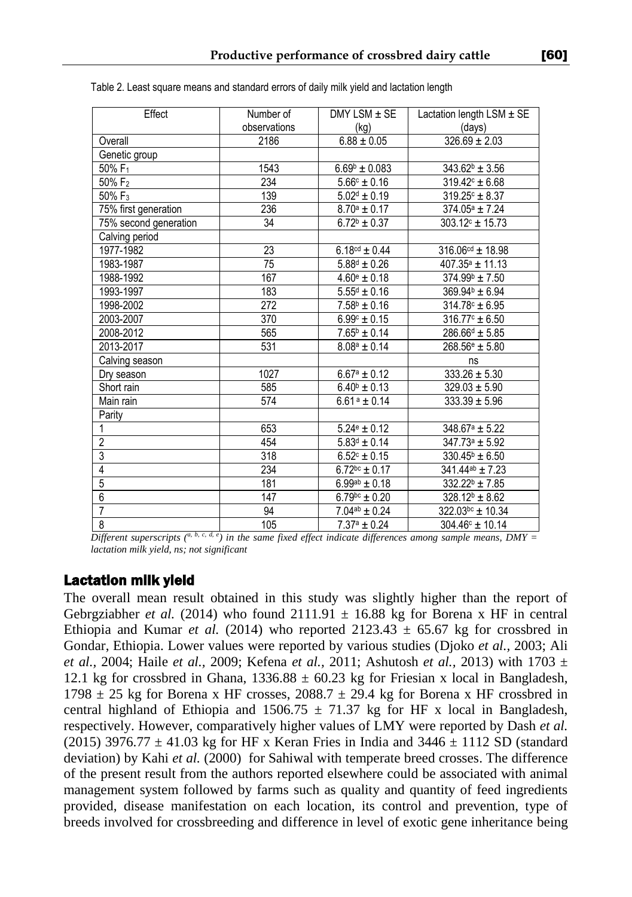| Effect                | Number of    | $DMY$ LSM $\pm$ SE          | Lactation length $LSM \pm SE$           |
|-----------------------|--------------|-----------------------------|-----------------------------------------|
|                       | observations | (kq)                        | (days)                                  |
| Overall               | 2186         | $6.88 \pm 0.05$             | $326.69 \pm 2.03$                       |
| Genetic group         |              |                             |                                         |
| 50% $F_1$             | 1543         | $6.69b \pm 0.083$           | $343.62b \pm 3.56$                      |
| 50% F <sub>2</sub>    | 234          | $\frac{1}{5.66^c \pm 0.16}$ | $319.42^{\circ} \pm 6.68$               |
| 50% F <sub>3</sub>    | 139          | $5.02^d \pm 0.19$           | $319.25^{\circ} \pm 8.37$               |
| 75% first generation  | 236          | $8.70^a \pm 0.17$           | $374.05^a \pm 7.24$                     |
| 75% second generation | 34           | $\sqrt{6.72^b} \pm 0.37$    | $303.12^{\circ}$ ± 15.73                |
| Calving period        |              |                             |                                         |
| 1977-1982             | 23           | $6.18^{cd} \pm 0.44$        | $316.06$ <sup>cd</sup> ± 18.98          |
| 1983-1987             | 75           | $5.88^d \pm 0.26$           | $407.35^a \pm 11.13$                    |
| 1988-1992             | 167          | $4.60^{\circ} \pm 0.18$     | $374.99b \pm 7.50$                      |
| 1993-1997             | 183          | $5.55^d \pm 0.16$           | $369.94^b \pm 6.94$                     |
| 1998-2002             | 272          | $7.58^b \pm 0.16$           | $314.78c \pm 6.95$                      |
| 2003-2007             | 370          | $6.99^{\circ} \pm 0.15$     | $316.77^{\circ} \pm 6.50$               |
| 2008-2012             | 565          | $7.65^{\circ} \pm 0.14$     | $\overline{286.66}$ <sup>d</sup> ± 5.85 |
| 2013-2017             | 531          | $8.08^a \pm 0.14$           | $\frac{268.56}{e} \pm 5.80$             |
| Calving season        |              |                             | ns                                      |
| Dry season            | 1027         | $6.67^a \pm 0.12$           | $\overline{333.26}$ ± 5.30              |
| Short rain            | 585          | $6.40^{\circ} \pm 0.13$     | $329.03 \pm 5.90$                       |
| Main rain             | 574          | $6.61a \pm 0.14$            | $333.39 \pm 5.96$                       |
| Parity                |              |                             |                                         |
|                       | 653          | $5.24$ <sup>e</sup> ± 0.12  | $348.67^a \pm 5.22$                     |
| 2                     | 454          | $5.83^d \pm 0.14$           | $347.73a \pm 5.92$                      |
| 3                     | 318          | $6.52^{\circ} \pm 0.15$     | $330.45^{\circ} \pm 6.50$               |
| $\overline{4}$        | 234          | $6.72^{bc} \pm 0.17$        | $341.44$ <sup>ab</sup> ± 7.23           |
| $\overline{5}$        | 181          | $6.99^{ab} \pm 0.18$        | $332.22^b \pm 7.85$                     |
| $\overline{6}$        | 147          | $6.79^{bc} \pm 0.20$        | $328.12^b \pm 8.62$                     |
| $\overline{7}$        | 94           | $7.04^{ab} \pm 0.24$        | $322.03^{bc} \pm 10.34$                 |
| 8                     | 105          | $7.37^a \pm 0.24$           | $304.46^{\circ}$ ± 10.14                |

Table 2. Least square means and standard errors of daily milk yield and lactation length

*Different superscripts*  $\binom{a, b, c, d, e}{c}$  in the same fixed effect indicate differences among sample means, DMY = *lactation milk yield, ns; not significant*

#### Lactation milk yield

The overall mean result obtained in this study was slightly higher than the report of Gebrgziabher *et al.* (2014) who found  $2111.91 \pm 16.88$  kg for Borena x HF in central Ethiopia and Kumar *et al.* (2014) who reported  $2123.43 \pm 65.67$  kg for crossbred in Gondar, Ethiopia. Lower values were reported by various studies (Djoko *et al.,* 2003; Ali *et al.,* 2004; Haile *et al.,* 2009; Kefena *et al.,* 2011; Ashutosh *et al.,* 2013) with 1703 ± 12.1 kg for crossbred in Ghana,  $1336.88 \pm 60.23$  kg for Friesian x local in Bangladesh, 1798  $\pm$  25 kg for Borena x HF crosses, 2088.7  $\pm$  29.4 kg for Borena x HF crossbred in central highland of Ethiopia and 1506.75  $\pm$  71.37 kg for HF x local in Bangladesh, respectively. However, comparatively higher values of LMY were reported by Dash *et al.* (2015) 3976.77  $\pm$  41.03 kg for HF x Keran Fries in India and 3446  $\pm$  1112 SD (standard deviation) by Kahi *et al.* (2000) for Sahiwal with temperate breed crosses. The difference of the present result from the authors reported elsewhere could be associated with animal management system followed by farms such as quality and quantity of feed ingredients provided, disease manifestation on each location, its control and prevention, type of breeds involved for crossbreeding and difference in level of exotic gene inheritance being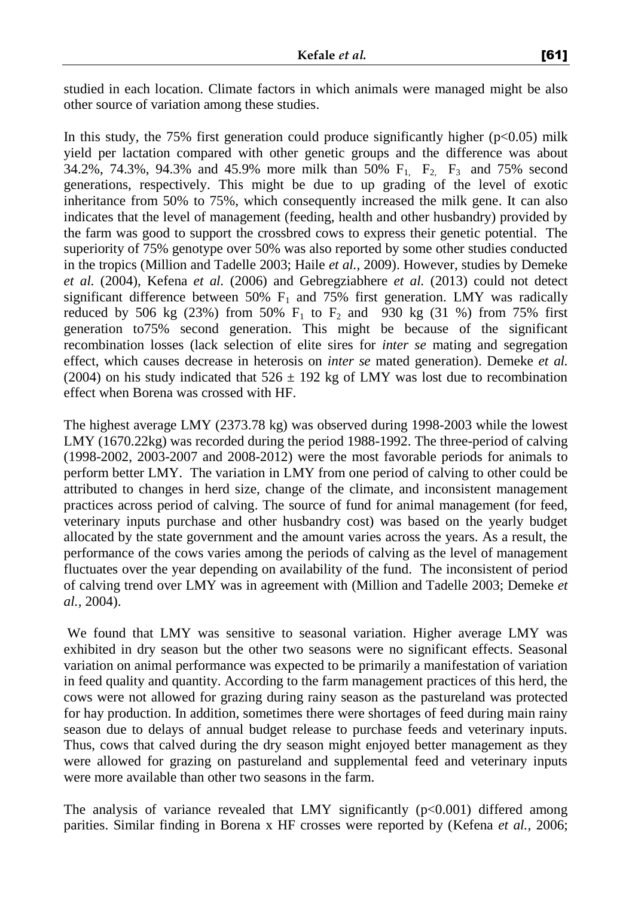studied in each location. Climate factors in which animals were managed might be also other source of variation among these studies.

In this study, the 75% first generation could produce significantly higher  $(p<0.05)$  milk yield per lactation compared with other genetic groups and the difference was about 34.2%, 74.3%, 94.3% and 45.9% more milk than 50%  $F_1$ ,  $F_2$ ,  $F_3$  and 75% second generations, respectively. This might be due to up grading of the level of exotic inheritance from 50% to 75%, which consequently increased the milk gene. It can also indicates that the level of management (feeding, health and other husbandry) provided by the farm was good to support the crossbred cows to express their genetic potential. The superiority of 75% genotype over 50% was also reported by some other studies conducted in the tropics (Million and Tadelle 2003; Haile *et al.,* 2009). However, studies by Demeke *et al.* (2004), Kefena *et al.* (2006) and Gebregziabhere *et al.* (2013) could not detect significant difference between 50%  $F_1$  and 75% first generation. LMY was radically reduced by 506 kg (23%) from 50%  $F_1$  to  $F_2$  and 930 kg (31 %) from 75% first generation to75% second generation. This might be because of the significant recombination losses (lack selection of elite sires for *inter se* mating and segregation effect, which causes decrease in heterosis on *inter se* mated generation). Demeke *et al.* (2004) on his study indicated that  $526 \pm 192$  kg of LMY was lost due to recombination effect when Borena was crossed with HF.

The highest average LMY (2373.78 kg) was observed during 1998-2003 while the lowest LMY (1670.22kg) was recorded during the period 1988-1992. The three-period of calving (1998-2002, 2003-2007 and 2008-2012) were the most favorable periods for animals to perform better LMY. The variation in LMY from one period of calving to other could be attributed to changes in herd size, change of the climate, and inconsistent management practices across period of calving. The source of fund for animal management (for feed, veterinary inputs purchase and other husbandry cost) was based on the yearly budget allocated by the state government and the amount varies across the years. As a result, the performance of the cows varies among the periods of calving as the level of management fluctuates over the year depending on availability of the fund. The inconsistent of period of calving trend over LMY was in agreement with (Million and Tadelle 2003; Demeke *et al.,* 2004).

We found that LMY was sensitive to seasonal variation. Higher average LMY was exhibited in dry season but the other two seasons were no significant effects. Seasonal variation on animal performance was expected to be primarily a manifestation of variation in feed quality and quantity. According to the farm management practices of this herd, the cows were not allowed for grazing during rainy season as the pastureland was protected for hay production. In addition, sometimes there were shortages of feed during main rainy season due to delays of annual budget release to purchase feeds and veterinary inputs. Thus, cows that calved during the dry season might enjoyed better management as they were allowed for grazing on pastureland and supplemental feed and veterinary inputs were more available than other two seasons in the farm.

The analysis of variance revealed that LMY significantly  $(p<0.001)$  differed among parities. Similar finding in Borena x HF crosses were reported by (Kefena *et al.,* 2006;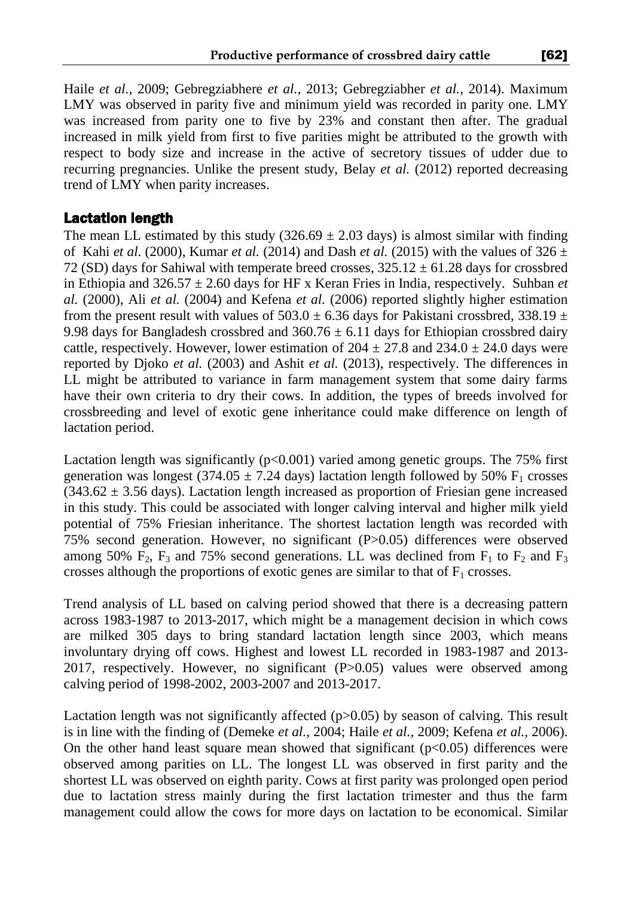Haile *et al.,* 2009; Gebregziabhere *et al.,* 2013; Gebregziabher *et al.,* 2014). Maximum LMY was observed in parity five and minimum yield was recorded in parity one. LMY was increased from parity one to five by 23% and constant then after. The gradual increased in milk yield from first to five parities might be attributed to the growth with respect to body size and increase in the active of secretory tissues of udder due to recurring pregnancies. Unlike the present study, Belay *et al.* (2012) reported decreasing trend of LMY when parity increases.

## Lactation length

The mean LL estimated by this study  $(326.69 \pm 2.03 \text{ days})$  is almost similar with finding of Kahi *et al.* (2000), Kumar *et al.* (2014) and Dash *et al.* (2015) with the values of  $326 \pm$ 72 (SD) days for Sahiwal with temperate breed crosses,  $325.12 \pm 61.28$  days for crossbred in Ethiopia and  $326.57 \pm 2.60$  days for HF x Keran Fries in India, respectively. Suhban *et al.* (2000), Ali *et al.* (2004) and Kefena *et al.* (2006) reported slightly higher estimation from the present result with values of 503.0  $\pm$  6.36 days for Pakistani crossbred, 338.19  $\pm$ 9.98 days for Bangladesh crossbred and  $360.76 \pm 6.11$  days for Ethiopian crossbred dairy cattle, respectively. However, lower estimation of  $204 \pm 27.8$  and  $234.0 \pm 24.0$  days were reported by Djoko *et al.* (2003) and Ashit *et al.* (2013), respectively. The differences in LL might be attributed to variance in farm management system that some dairy farms have their own criteria to dry their cows. In addition, the types of breeds involved for crossbreeding and level of exotic gene inheritance could make difference on length of lactation period.

Lactation length was significantly  $(p<0.001)$  varied among genetic groups. The 75% first generation was longest (374.05  $\pm$  7.24 days) lactation length followed by 50% F<sub>1</sub> crosses  $(343.62 \pm 3.56 \text{ days})$ . Lactation length increased as proportion of Friesian gene increased in this study. This could be associated with longer calving interval and higher milk yield potential of 75% Friesian inheritance. The shortest lactation length was recorded with 75% second generation. However, no significant (P>0.05) differences were observed among 50%  $F_2$ ,  $F_3$  and 75% second generations. LL was declined from  $F_1$  to  $F_2$  and  $F_3$ crosses although the proportions of exotic genes are similar to that of  $F_1$  crosses.

Trend analysis of LL based on calving period showed that there is a decreasing pattern across 1983-1987 to 2013-2017, which might be a management decision in which cows are milked 305 days to bring standard lactation length since 2003, which means involuntary drying off cows. Highest and lowest LL recorded in 1983-1987 and 2013- 2017, respectively. However, no significant (P>0.05) values were observed among calving period of 1998-2002, 2003-2007 and 2013-2017.

Lactation length was not significantly affected (p>0.05) by season of calving. This result is in line with the finding of (Demeke *et al.,* 2004; Haile *et al.,* 2009; Kefena *et al.,* 2006). On the other hand least square mean showed that significant  $(p<0.05)$  differences were observed among parities on LL. The longest LL was observed in first parity and the shortest LL was observed on eighth parity. Cows at first parity was prolonged open period due to lactation stress mainly during the first lactation trimester and thus the farm management could allow the cows for more days on lactation to be economical. Similar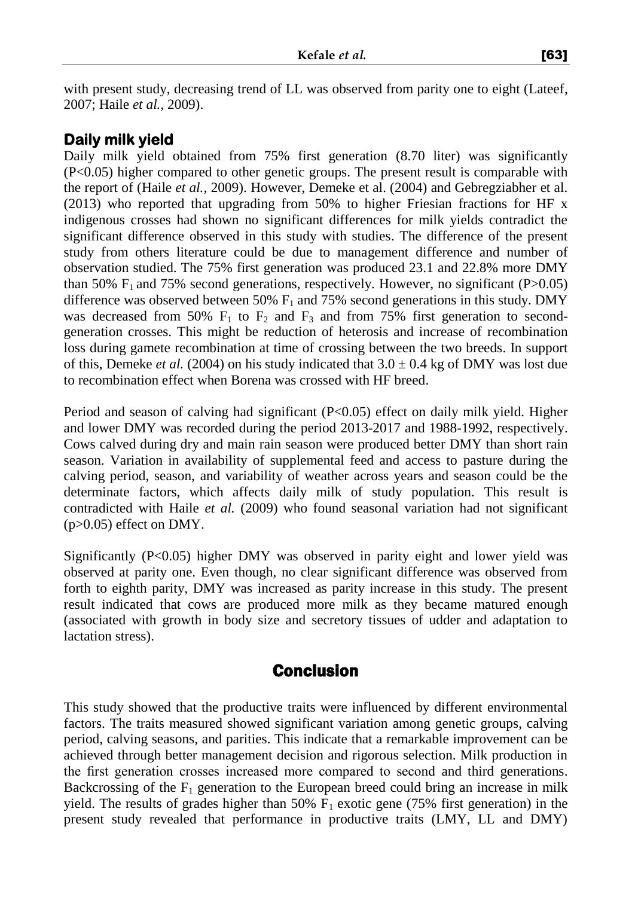with present study, decreasing trend of LL was observed from parity one to eight (Lateef, 2007; Haile *et al.,* 2009).

## **Daily milk yield**

Daily milk yield obtained from 75% first generation (8.70 liter) was significantly (P<0.05) higher compared to other genetic groups. The present result is comparable with the report of (Haile *et al.,* 2009). However, Demeke et al. (2004) and Gebregziabher et al. (2013) who reported that upgrading from 50% to higher Friesian fractions for HF x indigenous crosses had shown no significant differences for milk yields contradict the significant difference observed in this study with studies. The difference of the present study from others literature could be due to management difference and number of observation studied. The 75% first generation was produced 23.1 and 22.8% more DMY than 50%  $F_1$  and 75% second generations, respectively. However, no significant (P $>0.05$ ) difference was observed between 50%  $F_1$  and 75% second generations in this study. DMY was decreased from 50%  $F_1$  to  $F_2$  and  $F_3$  and from 75% first generation to secondgeneration crosses. This might be reduction of heterosis and increase of recombination loss during gamete recombination at time of crossing between the two breeds. In support of this, Demeke *et al.* (2004) on his study indicated that  $3.0 \pm 0.4$  kg of DMY was lost due to recombination effect when Borena was crossed with HF breed.

Period and season of calving had significant (P<0.05) effect on daily milk yield. Higher and lower DMY was recorded during the period 2013-2017 and 1988-1992, respectively. Cows calved during dry and main rain season were produced better DMY than short rain season. Variation in availability of supplemental feed and access to pasture during the calving period, season, and variability of weather across years and season could be the determinate factors, which affects daily milk of study population. This result is contradicted with Haile *et al.* (2009) who found seasonal variation had not significant  $(p>0.05)$  effect on DMY.

Significantly (P<0.05) higher DMY was observed in parity eight and lower yield was observed at parity one. Even though, no clear significant difference was observed from forth to eighth parity, DMY was increased as parity increase in this study. The present result indicated that cows are produced more milk as they became matured enough (associated with growth in body size and secretory tissues of udder and adaptation to lactation stress).

# Conclusion

This study showed that the productive traits were influenced by different environmental factors. The traits measured showed significant variation among genetic groups, calving period, calving seasons, and parities. This indicate that a remarkable improvement can be achieved through better management decision and rigorous selection. Milk production in the first generation crosses increased more compared to second and third generations. Backcrossing of the  $F_1$  generation to the European breed could bring an increase in milk yield. The results of grades higher than 50%  $F_1$  exotic gene (75% first generation) in the present study revealed that performance in productive traits (LMY, LL and DMY)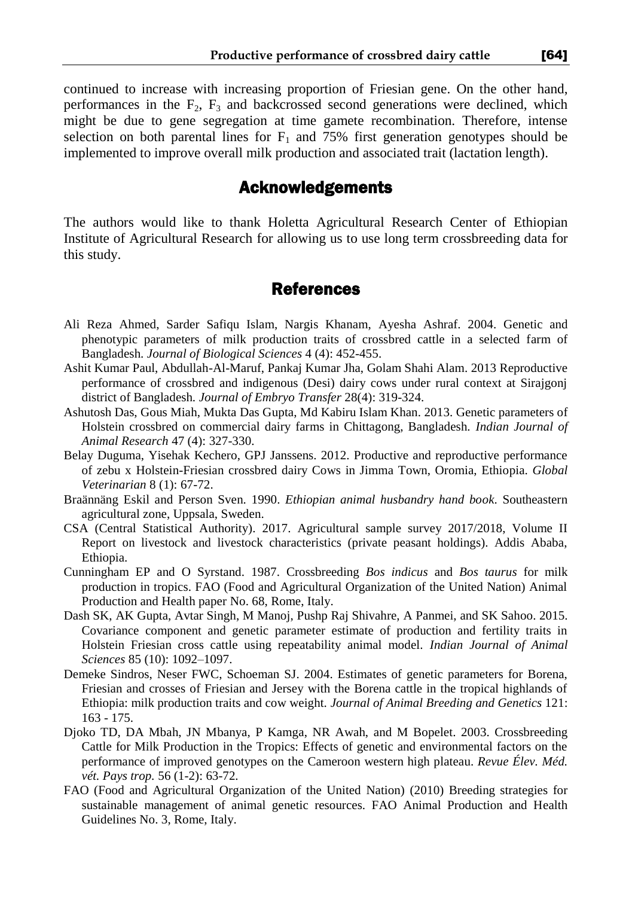continued to increase with increasing proportion of Friesian gene. On the other hand, performances in the  $F_2$ ,  $F_3$  and backcrossed second generations were declined, which might be due to gene segregation at time gamete recombination. Therefore, intense selection on both parental lines for  $F_1$  and 75% first generation genotypes should be implemented to improve overall milk production and associated trait (lactation length).

# Acknowledgements

The authors would like to thank Holetta Agricultural Research Center of Ethiopian Institute of Agricultural Research for allowing us to use long term crossbreeding data for this study.

## References

- Ali Reza Ahmed, Sarder Safiqu Islam, Nargis Khanam, Ayesha Ashraf. 2004. Genetic and phenotypic parameters of milk production traits of crossbred cattle in a selected farm of Bangladesh. *Journal of Biological Sciences* 4 (4): 452-455.
- Ashit Kumar Paul, Abdullah-Al-Maruf, Pankaj Kumar Jha, Golam Shahi Alam. 2013 Reproductive performance of crossbred and indigenous (Desi) dairy cows under rural context at Sirajgonj district of Bangladesh. *Journal of Embryo Transfer* 28(4): 319-324.
- Ashutosh Das, Gous Miah, Mukta Das Gupta, Md Kabiru Islam Khan. 2013. Genetic parameters of Holstein crossbred on commercial dairy farms in Chittagong, Bangladesh. *Indian Journal of Animal Research* 47 (4): 327-330.
- Belay Duguma, Yisehak Kechero, GPJ Janssens. 2012. Productive and reproductive performance of zebu x Holstein-Friesian crossbred dairy Cows in Jimma Town, Oromia, Ethiopia. *Global Veterinarian* 8 (1): 67-72.
- Braännäng Eskil and Person Sven. 1990. *Ethiopian animal husbandry hand book*. Southeastern agricultural zone, Uppsala, Sweden.
- CSA (Central Statistical Authority). 2017. Agricultural sample survey 2017/2018, Volume II Report on livestock and livestock characteristics (private peasant holdings). Addis Ababa, Ethiopia.
- Cunningham EP and O Syrstand. 1987. Crossbreeding *Bos indicus* and *Bos taurus* for milk production in tropics. FAO (Food and Agricultural Organization of the United Nation) Animal Production and Health paper No. 68, Rome, Italy.
- Dash SK, AK Gupta, Avtar Singh, M Manoj, Pushp Raj Shivahre, A Panmei, and SK Sahoo. 2015. Covariance component and genetic parameter estimate of production and fertility traits in Holstein Friesian cross cattle using repeatability animal model. *Indian Journal of Animal Sciences* 85 (10): 1092–1097.
- Demeke Sindros, Neser FWC, Schoeman SJ. 2004. Estimates of genetic parameters for Borena, Friesian and crosses of Friesian and Jersey with the Borena cattle in the tropical highlands of Ethiopia: milk production traits and cow weight. *Journal of Animal Breeding and Genetics* 121: 163 - 175.
- Djoko TD, DA Mbah, JN Mbanya, P Kamga, NR Awah, and M Bopelet. 2003. Crossbreeding Cattle for Milk Production in the Tropics: Effects of genetic and environmental factors on the performance of improved genotypes on the Cameroon western high plateau. *Revue Élev. Méd. vét. Pays trop.* 56 (1-2): 63-72.
- FAO (Food and Agricultural Organization of the United Nation) (2010) Breeding strategies for sustainable management of animal genetic resources. FAO Animal Production and Health Guidelines No. 3, Rome, Italy.